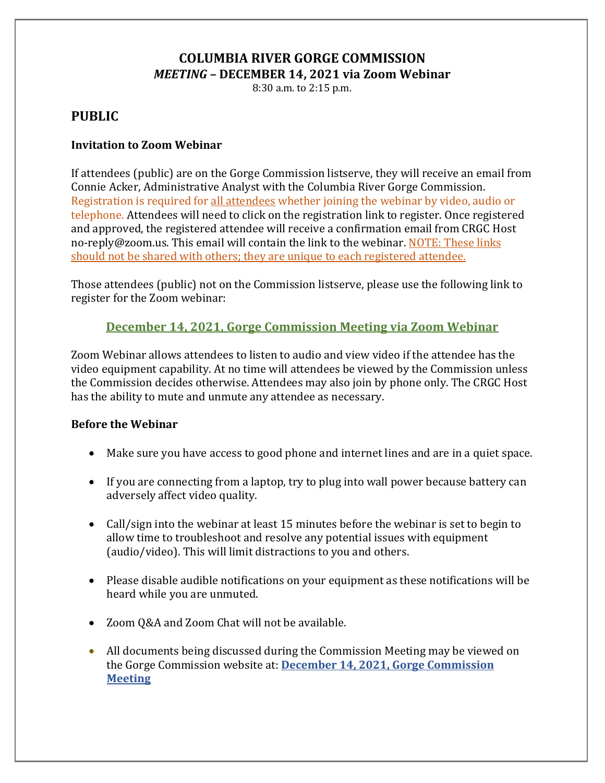# **COLUMBIA RIVER GORGE COMMISSION** *MEETING –* **DECEMBER 14, 2021 via Zoom Webinar**

8:30 a.m. to 2:15 p.m.

# **PUBLIC**

### **Invitation to Zoom Webinar**

If attendees (public) are on the Gorge Commission listserve, they will receive an email from Connie Acker, Administrative Analyst with the Columbia River Gorge Commission. Registration is required for all attendees whether joining the webinar by video, audio or telephone. Attendees will need to click on the registration link to register. Once registered and approved, the registered attendee will receive a confirmation email from CRGC Host no-reply@zoom.us. This email will contain the link to the webinar. NOTE: These links should not be shared with others; they are unique to each registered attendee.

Those attendees (public) not on the Commission listserve, please use the following link to register for the Zoom webinar:

## **December 14, 2021, [Gorge Commission Meeting via Zoom Webinar](https://us02web.zoom.us/webinar/register/WN_MwpLr_dWTV2kW8St9c-9rw)**

Zoom Webinar allows attendees to listen to audio and view video if the attendee has the video equipment capability. At no time will attendees be viewed by the Commission unless the Commission decides otherwise. Attendees may also join by phone only. The CRGC Host has the ability to mute and unmute any attendee as necessary.

#### **Before the Webinar**

- Make sure you have access to good phone and internet lines and are in a quiet space.
- If you are connecting from a laptop, try to plug into wall power because battery can adversely affect video quality.
- Call/sign into the webinar at least 15 minutes before the webinar is set to begin to allow time to troubleshoot and resolve any potential issues with equipment (audio/video). This will limit distractions to you and others.
- Please disable audible notifications on your equipment as these notifications will be heard while you are unmuted.
- Zoom Q&A and Zoom Chat will not be available.
- All documents being discussed during the Commission Meeting may be viewed on the Gorge Commission website at: **December 14, 2021, [Gorge Commission](http://www.gorgecommission.org/meeting/december-2021-monthly-crgc-meeting)  [Meeting](http://www.gorgecommission.org/meeting/december-2021-monthly-crgc-meeting)**